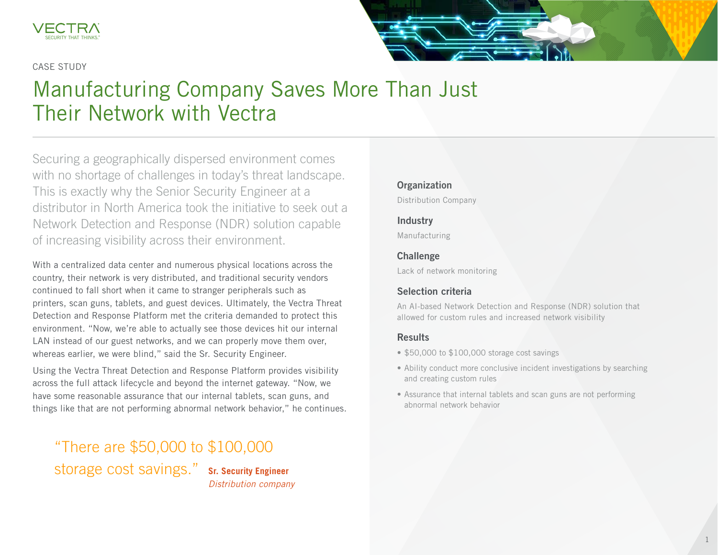

#### CASE STUDY

# Manufacturing Company Saves More Than Just Their Network with Vectra

Securing a geographically dispersed environment comes with no shortage of challenges in today's threat landscape. This is exactly why the Senior Security Engineer at a distributor in North America took the initiative to seek out a Network Detection and Response (NDR) solution capable of increasing visibility across their environment.

With a centralized data center and numerous physical locations across the country, their network is very distributed, and traditional security vendors continued to fall short when it came to stranger peripherals such as printers, scan guns, tablets, and guest devices. Ultimately, the Vectra Threat Detection and Response Platform met the criteria demanded to protect this environment. "Now, we're able to actually see those devices hit our internal LAN instead of our guest networks, and we can properly move them over, whereas earlier, we were blind," said the Sr. Security Engineer.

Using the Vectra Threat Detection and Response Platform provides visibility across the full attack lifecycle and beyond the internet gateway. "Now, we have some reasonable assurance that our internal tablets, scan guns, and things like that are not performing abnormal network behavior," he continues.

"There are \$50,000 to \$100,000 storage cost savings." **Sr. Security Engineer** *Distribution company*

## **Organization**

Distribution Company

#### Industry

Manufacturing

#### **Challenge**

Lack of network monitoring

### Selection criteria

An AI-based Network Detection and Response (NDR) solution that allowed for custom rules and increased network visibility

#### Results

- \$50,000 to \$100,000 storage cost savings
- Ability conduct more conclusive incident investigations by searching and creating custom rules
- Assurance that internal tablets and scan guns are not performing abnormal network behavior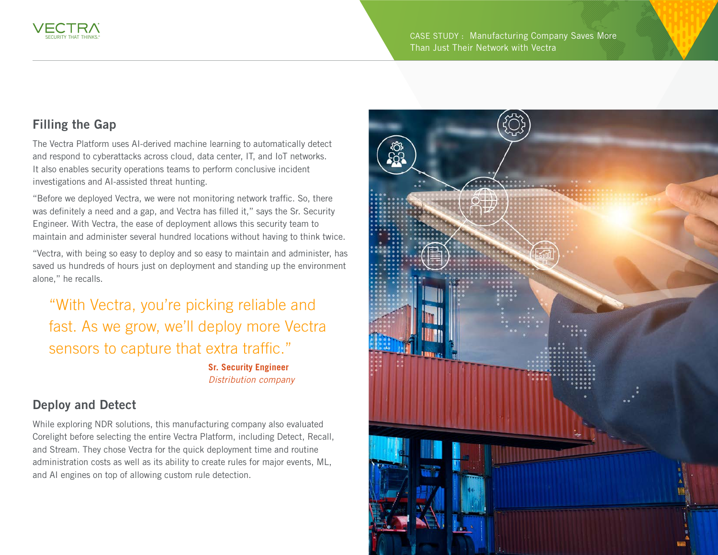# Filling the Gap

The Vectra Platform uses AI-derived machine learning to automatically detect and respond to cyberattacks across cloud, data center, IT, and IoT networks. It also enables security operations teams to perform conclusive incident investigations and AI-assisted threat hunting.

"Before we deployed Vectra, we were not monitoring network traffic. So, there was definitely a need and a gap, and Vectra has filled it," says the Sr. Security Engineer. With Vectra, the ease of deployment allows this security team to maintain and administer several hundred locations without having to think twice.

"Vectra, with being so easy to deploy and so easy to maintain and administer, has saved us hundreds of hours just on deployment and standing up the environment alone," he recalls.

"With Vectra, you're picking reliable and fast. As we grow, we'll deploy more Vectra sensors to capture that extra traffic."

> **Sr. Security Engineer** *Distribution company*

## Deploy and Detect

While exploring NDR solutions, this manufacturing company also evaluated Corelight before selecting the entire Vectra Platform, including Detect, Recall, and Stream. They chose Vectra for the quick deployment time and routine administration costs as well as its ability to create rules for major events, ML, and AI engines on top of allowing custom rule detection.